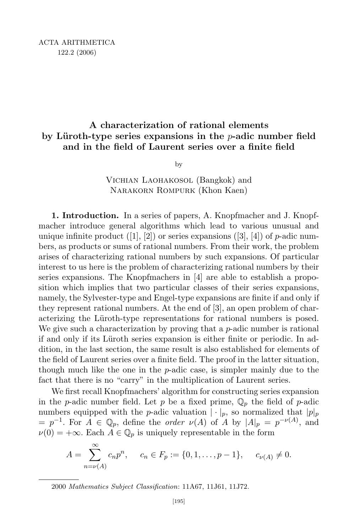## A characterization of rational elements by Lüroth-type series expansions in the  $p$ -adic number field and in the field of Laurent series over a finite field

by

Vichian Laohakosol (Bangkok) and Narakorn Rompurk (Khon Kaen)

1. Introduction. In a series of papers, A. Knopfmacher and J. Knopfmacher introduce general algorithms which lead to various unusual and unique infinite product  $([1], [2])$  or series expansions  $([3], [4])$  of p-adic numbers, as products or sums of rational numbers. From their work, the problem arises of characterizing rational numbers by such expansions. Of particular interest to us here is the problem of characterizing rational numbers by their series expansions. The Knopfmachers in [4] are able to establish a proposition which implies that two particular classes of their series expansions, namely, the Sylvester-type and Engel-type expansions are finite if and only if they represent rational numbers. At the end of [3], an open problem of characterizing the Lüroth-type representations for rational numbers is posed. We give such a characterization by proving that a  $p$ -adic number is rational if and only if its Lüroth series expansion is either finite or periodic. In addition, in the last section, the same result is also established for elements of the field of Laurent series over a finite field. The proof in the latter situation, though much like the one in the  $p$ -adic case, is simpler mainly due to the fact that there is no "carry" in the multiplication of Laurent series.

We first recall Knopfmachers' algorithm for constructing series expansion in the *p*-adic number field. Let *p* be a fixed prime,  $\mathbb{Q}_p$  the field of *p*-adic numbers equipped with the *p*-adic valuation  $|\cdot|_p$ , so normalized that  $|p|_p$  $=p^{-1}$ . For  $A \in \mathbb{Q}_p$ , define the *order*  $\nu(A)$  of A by  $|A|_p = p^{-\nu(A)}$ , and  $\nu(0) = +\infty$ . Each  $A \in \mathbb{Q}_p$  is uniquely representable in the form

$$
A = \sum_{n=\nu(A)}^{\infty} c_n p^n, \quad c_n \in F_p := \{0, 1, \dots, p-1\}, \quad c_{\nu(A)} \neq 0.
$$

2000 Mathematics Subject Classification: 11A67, 11J61, 11J72.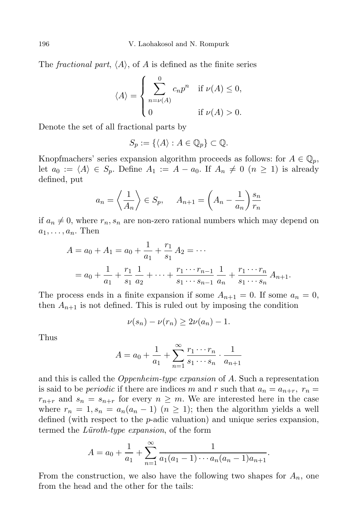The *fractional part*,  $\langle A \rangle$ , of A is defined as the finite series

$$
\langle A \rangle = \begin{cases} \sum_{n=\nu(A)}^{0} c_n p^n & \text{if } \nu(A) \leq 0, \\ 0 & \text{if } \nu(A) > 0. \end{cases}
$$

Denote the set of all fractional parts by

$$
S_p := \{ \langle A \rangle : A \in \mathbb{Q}_p \} \subset \mathbb{Q}.
$$

Knopfmachers' series expansion algorithm proceeds as follows: for  $A \in \mathbb{Q}_p$ , let  $a_0 := \langle A \rangle \in S_p$ . Define  $A_1 := A - a_0$ . If  $A_n \neq 0 \ (n \geq 1)$  is already defined, put

$$
a_n = \left\langle \frac{1}{A_n} \right\rangle \in S_p, \quad A_{n+1} = \left(A_n - \frac{1}{a_n}\right) \frac{s_n}{r_n}
$$

if  $a_n \neq 0$ , where  $r_n$ ,  $s_n$  are non-zero rational numbers which may depend on  $a_1, \ldots, a_n$ . Then

$$
A = a_0 + A_1 = a_0 + \frac{1}{a_1} + \frac{r_1}{s_1} A_2 = \cdots
$$
  
=  $a_0 + \frac{1}{a_1} + \frac{r_1}{s_1} \frac{1}{a_2} + \cdots + \frac{r_1 \cdots r_{n-1}}{s_1 \cdots s_{n-1}} \frac{1}{a_n} + \frac{r_1 \cdots r_n}{s_1 \cdots s_n} A_{n+1}.$ 

The process ends in a finite expansion if some  $A_{n+1} = 0$ . If some  $a_n = 0$ , then  $A_{n+1}$  is not defined. This is ruled out by imposing the condition

$$
\nu(s_n) - \nu(r_n) \ge 2\nu(a_n) - 1.
$$

Thus

$$
A = a_0 + \frac{1}{a_1} + \sum_{n=1}^{\infty} \frac{r_1 \cdots r_n}{s_1 \cdots s_n} \cdot \frac{1}{a_{n+1}}
$$

and this is called the *Oppenheim-type expansion* of  $A$ . Such a representation is said to be *periodic* if there are indices m and r such that  $a_n = a_{n+r}$ ,  $r_n =$  $r_{n+r}$  and  $s_n = s_{n+r}$  for every  $n \geq m$ . We are interested here in the case where  $r_n = 1$ ,  $s_n = a_n(a_n - 1)$   $(n \ge 1)$ ; then the algorithm yields a well defined (with respect to the  $p$ -adic valuation) and unique series expansion, termed the *Lüroth-type expansion*, of the form

$$
A = a_0 + \frac{1}{a_1} + \sum_{n=1}^{\infty} \frac{1}{a_1(a_1 - 1) \cdots a_n(a_n - 1)a_{n+1}}.
$$

From the construction, we also have the following two shapes for  $A_n$ , one from the head and the other for the tails: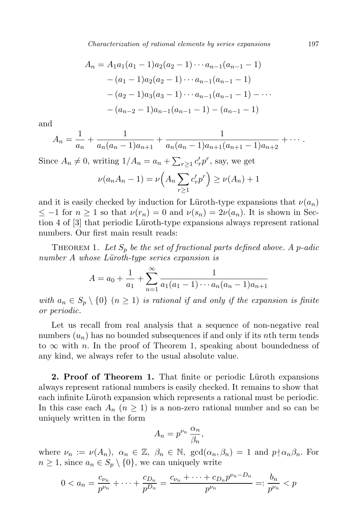Characterization of rational elements by series expansions 197

$$
A_n = A_1 a_1 (a_1 - 1) a_2 (a_2 - 1) \cdots a_{n-1} (a_{n-1} - 1)
$$
  
\n
$$
- (a_1 - 1) a_2 (a_2 - 1) \cdots a_{n-1} (a_{n-1} - 1)
$$
  
\n
$$
- (a_2 - 1) a_3 (a_3 - 1) \cdots a_{n-1} (a_{n-1} - 1) - \cdots
$$
  
\n
$$
- (a_{n-2} - 1) a_{n-1} (a_{n-1} - 1) - (a_{n-1} - 1)
$$

and

$$
A_n = \frac{1}{a_n} + \frac{1}{a_n(a_n-1)a_{n+1}} + \frac{1}{a_n(a_n-1)a_{n+1}(a_{n+1}-1)a_{n+2}} + \cdots
$$

Since  $A_n \neq 0$ , writing  $1/A_n = a_n + \sum_{r \geq 1} c'_r p^r$ , say, we get

$$
\nu(a_n A_n - 1) = \nu\left(A_n \sum_{r \ge 1} c'_r p^r\right) \ge \nu(A_n) + 1
$$

and it is easily checked by induction for Lüroth-type expansions that  $\nu(a_n)$  $\leq -1$  for  $n \geq 1$  so that  $\nu(r_n) = 0$  and  $\nu(s_n) = 2\nu(a_n)$ . It is shown in Section 4 of [3] that periodic L¨uroth-type expansions always represent rational numbers. Our first main result reads:

THEOREM 1. Let  $S_p$  be the set of fractional parts defined above. A p-adic  $number\ A\ whose\ Lüroth-type\ series\ expansion\ is$ 

$$
A = a_0 + \frac{1}{a_1} + \sum_{n=1}^{\infty} \frac{1}{a_1(a_1 - 1) \cdots a_n(a_n - 1)a_{n+1}}
$$

with  $a_n \in S_p \setminus \{0\}$   $(n \geq 1)$  is rational if and only if the expansion is finite or periodic.

Let us recall from real analysis that a sequence of non-negative real numbers  $(u_n)$  has no bounded subsequences if and only if its nth term tends to  $\infty$  with n. In the proof of Theorem 1, speaking about boundedness of any kind, we always refer to the usual absolute value.

2. Proof of Theorem 1. That finite or periodic Lüroth expansions always represent rational numbers is easily checked. It remains to show that each infinite Lüroth expansion which represents a rational must be periodic. In this case each  $A_n$  ( $n \geq 1$ ) is a non-zero rational number and so can be uniquely written in the form

$$
A_n = p^{\nu_n} \frac{\alpha_n}{\beta_n},
$$

where  $\nu_n := \nu(A_n)$ ,  $\alpha_n \in \mathbb{Z}$ ,  $\beta_n \in \mathbb{N}$ ,  $\gcd(\alpha_n, \beta_n) = 1$  and  $p \nmid \alpha_n \beta_n$ . For  $n \geq 1$ , since  $a_n \in S_p \setminus \{0\}$ , we can uniquely write

$$
0 < a_n = \frac{c_{\nu_n}}{p^{\nu_n}} + \dots + \frac{c_{D_n}}{p^{\nu_n}} = \frac{c_{\nu_n} + \dots + c_{D_n}p^{\nu_n - D_n}}{p^{\nu_n}} =: \frac{b_n}{p^{\nu_n}} < p
$$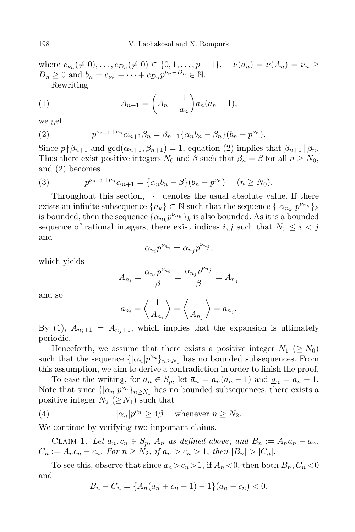where  $c_{\nu_n}(\neq 0), \ldots, c_{D_n}(\neq 0) \in \{0, 1, \ldots, p-1\}, -\nu(a_n) = \nu(A_n) = \nu_n \geq$  $D_n \geq 0$  and  $b_n = c_{\nu_n} + \cdots + c_{D_n} p^{\nu_n - D_n} \in \mathbb{N}$ .

Rewriting

(1) 
$$
A_{n+1} = \left(A_n - \frac{1}{a_n}\right) a_n (a_n - 1),
$$

we get

(2) 
$$
p^{\nu_{n+1}+\nu_n}\alpha_{n+1}\beta_n = \beta_{n+1}\{\alpha_n b_n - \beta_n\}(b_n - p^{\nu_n}).
$$

Since  $p \nmid \beta_{n+1}$  and  $gcd(\alpha_{n+1}, \beta_{n+1}) = 1$ , equation (2) implies that  $\beta_{n+1} | \beta_n$ . Thus there exist positive integers  $N_0$  and  $\beta$  such that  $\beta_n = \beta$  for all  $n \ge N_0$ , and (2) becomes

(3) 
$$
p^{\nu_{n+1}+\nu_n}\alpha_{n+1} = {\alpha_n b_n - \beta}(b_n - p^{\nu_n}) \quad (n \ge N_0).
$$

Throughout this section,  $|\cdot|$  denotes the usual absolute value. If there exists an infinite subsequence  $\{n_k\} \subset \mathbb{N}$  such that the sequence  $\{|\alpha_{n_k}|p^{\nu_{n_k}}\}_k$ is bounded, then the sequence  $\{\alpha_{n_k} p^{\nu_{n_k}}\}_k$  is also bounded. As it is a bounded sequence of rational integers, there exist indices i, j such that  $N_0 \leq i < j$ and

$$
\alpha_{n_i} p^{\nu_{n_i}} = \alpha_{n_j} p^{\nu_{n_j}},
$$

which yields

$$
A_{n_i} = \frac{\alpha_{n_i} p^{\nu_{n_i}}}{\beta} = \frac{\alpha_{n_j} p^{\nu_{n_j}}}{\beta} = A_{n_j}
$$

and so

$$
a_{n_i} = \left\langle \frac{1}{A_{n_i}} \right\rangle = \left\langle \frac{1}{A_{n_j}} \right\rangle = a_{n_j}.
$$

By (1),  $A_{n_i+1} = A_{n_i+1}$ , which implies that the expansion is ultimately periodic.

Henceforth, we assume that there exists a positive integer  $N_1$  ( $\geq N_0$ ) such that the sequence  $\{|\alpha_n|p^{\nu_n}\}_{n\geq N_1}$  has no bounded subsequences. From this assumption, we aim to derive a contradiction in order to finish the proof.

To ease the writing, for  $a_n \in S_p$ , let  $\overline{a}_n = a_n(a_n - 1)$  and  $\underline{a}_n = a_n - 1$ . Note that since  $\{\alpha_n | p^{\nu_n}\}_{n \ge N_1}$  has no bounded subsequences, there exists a positive integer  $N_2$  ( $\geq N_1$ ) such that

(4) 
$$
|\alpha_n|p^{\nu_n} \ge 4\beta \quad \text{whenever } n \ge N_2.
$$

We continue by verifying two important claims.

CLAIM 1. Let  $a_n, c_n \in S_p$ ,  $A_n$  as defined above, and  $B_n := A_n \overline{a}_n - \underline{a}_n$ ,  $C_n := A_n \overline{c}_n - \underline{c}_n$ . For  $n \geq N_2$ , if  $a_n > c_n > 1$ , then  $|B_n| > |C_n|$ .

To see this, observe that since  $a_n > c_n > 1$ , if  $A_n < 0$ , then both  $B_n, C_n < 0$ and

$$
B_n - C_n = \{ A_n(a_n + c_n - 1) - 1 \} (a_n - c_n) < 0.
$$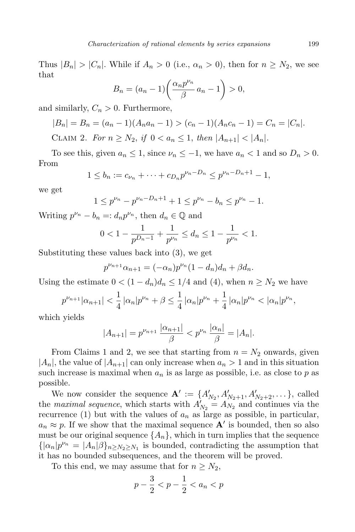Thus  $|B_n| > |C_n|$ . While if  $A_n > 0$  (i.e.,  $\alpha_n > 0$ ), then for  $n \geq N_2$ , we see that

$$
B_n = (a_n - 1) \left( \frac{\alpha_n p^{\nu_n}}{\beta} a_n - 1 \right) > 0,
$$

and similarly,  $C_n > 0$ . Furthermore,

$$
|B_n| = B_n = (a_n - 1)(A_n a_n - 1) > (c_n - 1)(A_n c_n - 1) = C_n = |C_n|.
$$
\nGiven  $0$ ,  $E_n$  and  $E_n$  and  $E_n$  and  $E_n$  and  $E_n$  are the same as  $n$  and  $n$  and  $n$  and  $n$ .

CLAIM 2. For  $n \ge N_2$ , if  $0 < a_n \le 1$ , then  $|A_{n+1}| < |A_n|$ .

To see this, given  $a_n \leq 1$ , since  $\nu_n \leq -1$ , we have  $a_n < 1$  and so  $D_n > 0$ . From

$$
1 \le b_n := c_{\nu_n} + \dots + c_{D_n} p^{\nu_n - D_n} \le p^{\nu_n - D_n + 1} - 1,
$$

we get

$$
1 \le p^{\nu_n} - p^{\nu_n - D_n + 1} + 1 \le p^{\nu_n} - b_n \le p^{\nu_n} - 1.
$$

Writing  $p^{\nu_n} - b_n =: d_n p^{\nu_n}$ , then  $d_n \in \mathbb{Q}$  and

$$
0 < 1 - \frac{1}{p^{D_n - 1}} + \frac{1}{p^{\nu_n}} \le d_n \le 1 - \frac{1}{p^{\nu_n}} < 1.
$$

Substituting these values back into (3), we get

$$
p^{\nu_{n+1}}\alpha_{n+1} = (-\alpha_n)p^{\nu_n}(1-d_n)d_n + \beta d_n.
$$

Using the estimate  $0 < (1 - d_n)d_n \leq 1/4$  and (4), when  $n \geq N_2$  we have

$$
p^{\nu_{n+1}}|\alpha_{n+1}| < \frac{1}{4}|\alpha_n|p^{\nu_n} + \beta \le \frac{1}{4}|\alpha_n|p^{\nu_n} + \frac{1}{4}|\alpha_n|p^{\nu_n} < |\alpha_n|p^{\nu_n},
$$

which yields

$$
|A_{n+1}| = p^{\nu_{n+1}} \frac{|\alpha_{n+1}|}{\beta} < p^{\nu_n} \frac{|\alpha_n|}{\beta} = |A_n|.
$$

From Claims 1 and 2, we see that starting from  $n = N_2$  onwards, given  $|A_n|$ , the value of  $|A_{n+1}|$  can only increase when  $a_n > 1$  and in this situation such increase is maximal when  $a_n$  is as large as possible, i.e. as close to p as possible.

We now consider the sequence  $\mathbf{A}' := \{A'_{N_2}, A'_{N_2+1}, A'_{N_2+2}, \dots\}$ , called the *maximal sequence*, which starts with  $A'_{N_2} = A_{N_2}$  and continues via the recurrence (1) but with the values of  $a_n$  as large as possible, in particular,  $a_n \approx p$ . If we show that the maximal sequence **A'** is bounded, then so also must be our original sequence  $\{A_n\}$ , which in turn implies that the sequence  $\{|\alpha_n|p^{\nu_n} = |A_n|\beta\}_{n \ge N_2 \ge N_1}$  is bounded, contradicting the assumption that it has no bounded subsequences, and the theorem will be proved.

To this end, we may assume that for  $n \geq N_2$ ,

$$
p - \frac{3}{2} < p - \frac{1}{2} < a_n < p
$$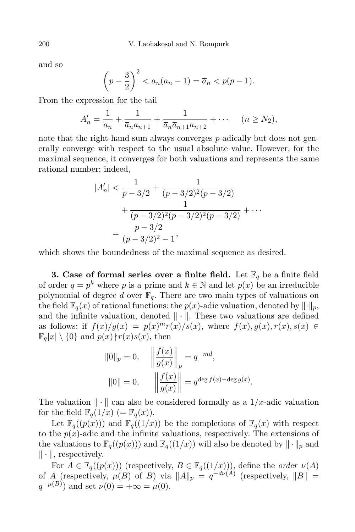and so

$$
\left(p - \frac{3}{2}\right)^2 < a_n(a_n - 1) = \overline{a}_n < p(p - 1).
$$

From the expression for the tail

$$
A'_n = \frac{1}{a_n} + \frac{1}{\overline{a}_n a_{n+1}} + \frac{1}{\overline{a}_n \overline{a}_{n+1} a_{n+2}} + \cdots \quad (n \ge N_2),
$$

note that the right-hand sum always converges p-adically but does not generally converge with respect to the usual absolute value. However, for the maximal sequence, it converges for both valuations and represents the same rational number; indeed,

$$
|A'_n| < \frac{1}{p - 3/2} + \frac{1}{(p - 3/2)^2 (p - 3/2)}
$$
  
+ 
$$
\frac{1}{(p - 3/2)^2 (p - 3/2)^2 (p - 3/2)} + \cdots
$$
  
= 
$$
\frac{p - 3/2}{(p - 3/2)^2 - 1},
$$

which shows the boundedness of the maximal sequence as desired.

**3.** Case of formal series over a finite field. Let  $\mathbb{F}_q$  be a finite field of order  $q = p^k$  where p is a prime and  $k \in \mathbb{N}$  and let  $p(x)$  be an irreducible polynomial of degree d over  $\mathbb{F}_q$ . There are two main types of valuations on the field  $\mathbb{F}_q(x)$  of rational functions: the  $p(x)$ -adic valuation, denoted by  $\lVert \cdot \rVert_p$ , and the infinite valuation, denoted  $\|\cdot\|$ . These two valuations are defined as follows: if  $f(x)/g(x) = p(x)^m r(x)/s(x)$ , where  $f(x), g(x), r(x), s(x) \in$  $\mathbb{F}_q[x] \setminus \{0\}$  and  $p(x) \nmid r(x)s(x)$ , then

$$
||0||_p = 0, \t \t ||\frac{f(x)}{g(x)}||_p = q^{-md},
$$
  

$$
||0|| = 0, \t ||\frac{f(x)}{g(x)}|| = q^{\deg f(x) - \deg g(x)}.
$$

The valuation  $\|\cdot\|$  can also be considered formally as a  $1/x$ -adic valuation for the field  $\mathbb{F}_q(1/x)$  (=  $\mathbb{F}_q(x)$ ).

Let  $\mathbb{F}_q((p(x)))$  and  $\mathbb{F}_q((1/x))$  be the completions of  $\mathbb{F}_q(x)$  with respect to the  $p(x)$ -adic and the infinite valuations, respectively. The extensions of the valuations to  $\mathbb{F}_q((p(x)))$  and  $\mathbb{F}_q((1/x))$  will also be denoted by  $\|\cdot\|_p$  and  $\|\cdot\|$ , respectively.

For  $A \in \mathbb{F}_q((p(x)))$  (respectively,  $B \in \mathbb{F}_q((1/x)))$ , define the *order*  $\nu(A)$ of A (respectively,  $\mu(B)$  of B) via  $||A||_p = q^{-d\nu(A)}$  (respectively,  $||B|| =$  $q^{-\mu(B)}$  and set  $\nu(0) = +\infty = \mu(0)$ .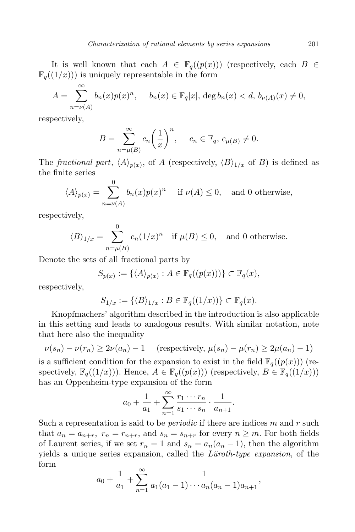It is well known that each  $A \in \mathbb{F}_q((p(x)))$  (respectively, each  $B \in$  $\mathbb{F}_{q}((1/x))$  is uniquely representable in the form

$$
A = \sum_{n=\nu(A)}^{\infty} b_n(x) p(x)^n, \quad b_n(x) \in \mathbb{F}_q[x], \deg b_n(x) < d, \, b_{\nu(A)}(x) \neq 0,
$$

respectively,

$$
B = \sum_{n=\mu(B)}^{\infty} c_n \left(\frac{1}{x}\right)^n, \quad c_n \in \mathbb{F}_q, c_{\mu(B)} \neq 0.
$$

The *fractional part*,  $\langle A \rangle_{p(x)}$ , of A (respectively,  $\langle B \rangle_{1/x}$  of B) is defined as the finite series

$$
\langle A \rangle_{p(x)} = \sum_{n=\nu(A)}^{0} b_n(x) p(x)^n \quad \text{if } \nu(A) \le 0, \text{ and 0 otherwise,}
$$

respectively,

$$
\langle B \rangle_{1/x} = \sum_{n=\mu(B)}^{0} c_n (1/x)^n \quad \text{if } \mu(B) \le 0, \quad \text{and } 0 \text{ otherwise.}
$$

Denote the sets of all fractional parts by

$$
S_{p(x)} := \{ \langle A \rangle_{p(x)} : A \in \mathbb{F}_q((p(x))) \} \subset \mathbb{F}_q(x),
$$

respectively,

$$
S_{1/x} := \{ \langle B \rangle_{1/x} : B \in \mathbb{F}_q((1/x)) \} \subset \mathbb{F}_q(x).
$$

Knopfmachers' algorithm described in the introduction is also applicable in this setting and leads to analogous results. With similar notation, note that here also the inequality

$$
\nu(s_n) - \nu(r_n) \ge 2\nu(a_n) - 1 \quad \text{(respectively, } \mu(s_n) - \mu(r_n) \ge 2\mu(a_n) - 1\text{)}
$$

is a sufficient condition for the expansion to exist in the field  $\mathbb{F}_q((p(x)))$  (respectively,  $\mathbb{F}_q((1/x))$ . Hence,  $A \in \mathbb{F}_q((p(x)))$  (respectively,  $B \in \mathbb{F}_q((1/x)))$ has an Oppenheim-type expansion of the form

$$
a_0 + \frac{1}{a_1} + \sum_{n=1}^{\infty} \frac{r_1 \cdots r_n}{s_1 \cdots s_n} \cdot \frac{1}{a_{n+1}}.
$$

Such a representation is said to be *periodic* if there are indices  $m$  and  $r$  such that  $a_n = a_{n+r}$ ,  $r_n = r_{n+r}$ , and  $s_n = s_{n+r}$  for every  $n \geq m$ . For both fields of Laurent series, if we set  $r_n = 1$  and  $s_n = a_n(a_n - 1)$ , then the algorithm yields a unique series expansion, called the *Lüroth-type expansion*, of the form

$$
a_0 + \frac{1}{a_1} + \sum_{n=1}^{\infty} \frac{1}{a_1(a_1 - 1) \cdots a_n(a_n - 1)a_{n+1}},
$$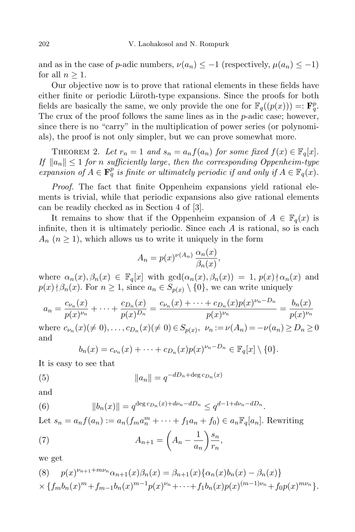and as in the case of p-adic numbers,  $\nu(a_n) \leq -1$  (respectively,  $\mu(a_n) \leq -1$ ) for all  $n \geq 1$ .

Our objective now is to prove that rational elements in these fields have either finite or periodic Lüroth-type expansions. Since the proofs for both fields are basically the same, we only provide the one for  $\mathbb{F}_q((p(x))) =: \mathbf{F}_q^p$ . The crux of the proof follows the same lines as in the *p*-adic case; however, since there is no "carry" in the multiplication of power series (or polynomials), the proof is not only simpler, but we can prove somewhat more.

THEOREM 2. Let  $r_n = 1$  and  $s_n = a_n f(a_n)$  for some fixed  $f(x) \in \mathbb{F}_q[x]$ . If  $||a_n|| \leq 1$  for n sufficiently large, then the corresponding Oppenheim-type expansion of  $A \in \mathbf{F}_q^p$  is finite or ultimately periodic if and only if  $A \in \mathbb{F}_q(x)$ .

Proof. The fact that finite Oppenheim expansions yield rational elements is trivial, while that periodic expansions also give rational elements can be readily checked as in Section 4 of [3].

It remains to show that if the Oppenheim expansion of  $A \in \mathbb{F}_q(x)$  is infinite, then it is ultimately periodic. Since each  $A$  is rational, so is each  $A_n$   $(n \geq 1)$ , which allows us to write it uniquely in the form

$$
A_n = p(x)^{\nu(A_n)} \frac{\alpha_n(x)}{\beta_n(x)},
$$

where  $\alpha_n(x), \beta_n(x) \in \mathbb{F}_q[x]$  with  $gcd(\alpha_n(x), \beta_n(x)) = 1$ ,  $p(x) \nmid \alpha_n(x)$  and  $p(x) \nmid \beta_n(x)$ . For  $n \geq 1$ , since  $a_n \in S_{p(x)} \setminus \{0\}$ , we can write uniquely

$$
a_n = \frac{c_{\nu_n}(x)}{p(x)^{\nu_n}} + \dots + \frac{c_{D_n}(x)}{p(x)^{D_n}} = \frac{c_{\nu_n}(x) + \dots + c_{D_n}(x)p(x)^{\nu_n - D_n}}{p(x)^{\nu_n}} = \frac{b_n(x)}{p(x)^{\nu_n}}
$$

where  $c_{\nu_n}(x) (\neq 0), \ldots, c_{D_n}(x) (\neq 0) \in S_{p(x)}, \ \nu_n := \nu(A_n) = -\nu(a_n) \ge D_n \ge 0$ and

$$
b_n(x) = c_{\nu_n}(x) + \cdots + c_{D_n}(x)p(x)^{\nu_n - D_n} \in \mathbb{F}_q[x] \setminus \{0\}.
$$

It is easy to see that

(5) 
$$
||a_n|| = q^{-dD_n + \deg c_{D_n}(x)}
$$

and

(6) 
$$
||b_n(x)|| = q^{\deg c_{D_n}(x) + d\nu_n - dD_n} \leq q^{d-1 + d\nu_n - dD_n}.
$$

Let  $s_n = a_n f(a_n) := a_n (f_m a_n^m + \cdots + f_1 a_n + f_0) \in a_n \mathbb{F}_q[a_n]$ . Rewriting

(7) 
$$
A_{n+1} = \left(A_n - \frac{1}{a_n}\right) \frac{s_n}{r_n},
$$

we get

(8) 
$$
p(x)^{\nu_{n+1}+m\nu_n}\alpha_{n+1}(x)\beta_n(x) = \beta_{n+1}(x)\{\alpha_n(x)b_n(x) - \beta_n(x)\}\times \{f_m b_n(x)^m + f_{m-1} b_n(x)^{m-1} p(x)^{\nu_n} + \cdots + f_1 b_n(x)p(x)^{(m-1)\nu_n} + f_0 p(x)^{m\nu_n}\}.
$$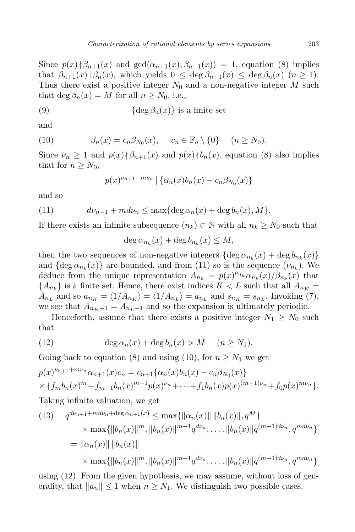Since  $p(x) \nmid \beta_{n+1}(x)$  and  $gcd(\alpha_{n+1}(x), \beta_{n+1}(x)) = 1$ , equation (8) implies that  $\beta_{n+1}(x) \mid \beta_n(x)$ , which yields  $0 \leq \deg \beta_{n+1}(x) \leq \deg \beta_n(x)$   $(n \geq 1)$ . Thus there exist a positive integer  $N_0$  and a non-negative integer M such that deg  $\beta_n(x) = M$  for all  $n \geq N_0$ , i.e.,

(9) 
$$
\{\deg \beta_n(x)\} \text{ is a finite set}
$$

and

(10) 
$$
\beta_n(x) = c_n \beta_{N_0}(x), \quad c_n \in \mathbb{F}_q \setminus \{0\} \quad (n \ge N_0).
$$

Since  $\nu_n \geq 1$  and  $p(x) \nmid \beta_{n+1}(x)$  and  $p(x) \nmid b_n(x)$ , equation (8) also implies that for  $n \geq N_0$ ,

$$
p(x)^{\nu_{n+1}+m\nu_n} | \{ \alpha_n(x)b_n(x) - c_n \beta_{N_0}(x) \}
$$

and so

(11) 
$$
d\nu_{n+1} + m d\nu_n \leq \max\{\deg \alpha_n(x) + \deg b_n(x), M\}.
$$

If there exists an infinite subsequence  $(n_k) \subset \mathbb{N}$  with all  $n_k \geq N_0$  such that

$$
\deg \alpha_{n_k}(x) + \deg b_{n_k}(x) \le M,
$$

then the two sequences of non-negative integers  $\{\deg \alpha_{n_k}(x) + \deg b_{n_k}(x)\}\$ and  $\{\deg \alpha_{n_k}(x)\}\$  are bounded, and from (11) so is the sequence  $(\nu_{n_k})$ . We deduce from the unique representation  $A_{n_k} = p(x)^{\nu_{n_k}} \alpha_{n_k}(x) / \beta_{n_k}(x)$  that  ${A_{n_k}}$  is a finite set. Hence, there exist indices  $K < L$  such that all  $A_{n_K} =$  $A_{n_L}$  and so  $a_{n_K} = \langle 1/A_{n_K} \rangle = \langle 1/A_{n_L} \rangle = a_{n_L}$  and  $s_{n_K} = s_{n_L}$ . Invoking (7), we see that  $A_{n<sub>K</sub>+1} = A_{n<sub>L</sub>+1}$  and so the expansion is ultimately periodic.

Henceforth, assume that there exists a positive integer  $N_1 \geq N_0$  such that

(12) 
$$
\deg \alpha_n(x) + \deg b_n(x) > M \quad (n \ge N_1).
$$

Going back to equation (8) and using (10), for  $n \geq N_1$  we get

$$
p(x)^{\nu_{n+1}+m\nu_n}\alpha_{n+1}(x)c_n = c_{n+1}\{\alpha_n(x)b_n(x) - c_n\beta_{N_0}(x)\}\times\{f_m b_n(x)^m + f_{m-1}b_n(x)^{m-1}p(x)^{\nu_n} + \cdots + f_1b_n(x)p(x)^{(m-1)\nu_n} + f_0p(x)^{m\nu_n}\}.
$$

Taking infinite valuation, we get

(13) 
$$
q^{d\nu_{n+1}+md\nu_n+\deg\alpha_{n+1}(x)} \le \max\{||\alpha_n(x)|| \, ||b_n(x)||, q^M\}
$$

$$
\times \max\{||b_n(x)||^m, ||b_n(x)||^{m-1}q^{d\nu_n}, \dots, ||b_n(x)||q^{(m-1)d\nu_n}, q^{md\nu_n}\}
$$

$$
= ||\alpha_n(x)|| \, ||b_n(x)||
$$

$$
\times \max\{||b_n(x)||^m, ||b_n(x)||^{m-1}q^{d\nu_n}, \dots, ||b_n(x)||q^{(m-1)d\nu_n}, q^{md\nu_n}\}
$$

using (12). From the given hypothesis, we may assume, without loss of generality, that  $||a_n|| \leq 1$  when  $n \geq N_1$ . We distinguish two possible cases.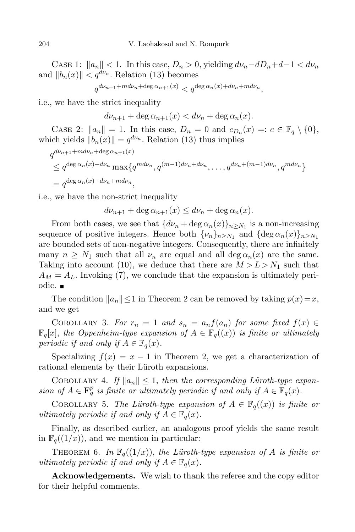CASE 1:  $||a_n|| < 1$ . In this case,  $D_n > 0$ , yielding  $d\nu_n-dD_n+d-1 < d\nu_n$ and  $||b_n(x)|| < q^{d\nu_n}$ . Relation (13) becomes

$$
q^{d\nu_{n+1} + m d\nu_n + \deg \alpha_{n+1}(x)} < q^{\deg \alpha_n(x) + d\nu_n + m d\nu_n},
$$

i.e., we have the strict inequality

$$
d\nu_{n+1} + \deg \alpha_{n+1}(x) < d\nu_n + \deg \alpha_n(x).
$$

CASE 2:  $||a_n|| = 1$ . In this case,  $D_n = 0$  and  $c_{D_n}(x) =: c \in \mathbb{F}_q \setminus \{0\},$ which yields  $||b_n(x)|| = q^{d\nu_n}$ . Relation (13) thus implies

$$
q^{d\nu_{n+1}+md\nu_n+\deg\alpha_{n+1}(x)}
$$
  
\n
$$
\leq q^{\deg\alpha_n(x)+d\nu_n}\max\{q^{md\nu_n}, q^{(m-1)d\nu_n+d\nu_n}, \dots, q^{d\nu_n+(m-1)d\nu_n}, q^{md\nu_n}\}
$$
  
\n
$$
= q^{\deg\alpha_n(x)+d\nu_n+md\nu_n},
$$

i.e., we have the non-strict inequality

$$
d\nu_{n+1} + \deg \alpha_{n+1}(x) \le d\nu_n + \deg \alpha_n(x).
$$

From both cases, we see that  $\{d\nu_n + \deg \alpha_n(x)\}_{n \ge N_1}$  is a non-increasing sequence of positive integers. Hence both  $\{\nu_n\}_{n\geq N_1}$  and  $\{\deg \alpha_n(x)\}_{n\geq N_1}$ are bounded sets of non-negative integers. Consequently, there are infinitely many  $n \geq N_1$  such that all  $\nu_n$  are equal and all deg  $\alpha_n(x)$  are the same. Taking into account (10), we deduce that there are  $M > L > N_1$  such that  $A_M = A_L$ . Invoking (7), we conclude that the expansion is ultimately periodic. ■

The condition  $||a_n|| \leq 1$  in Theorem 2 can be removed by taking  $p(x)=x$ , and we get

COROLLARY 3. For  $r_n = 1$  and  $s_n = a_n f(a_n)$  for some fixed  $f(x) \in$  $\mathbb{F}_q[x]$ , the Oppenheim-type expansion of  $A \in \mathbb{F}_q((x))$  is finite or ultimately periodic if and only if  $A \in \mathbb{F}_q(x)$ .

Specializing  $f(x) = x - 1$  in Theorem 2, we get a characterization of rational elements by their Lüroth expansions.

COROLLARY 4. If  $||a_n|| \leq 1$ , then the corresponding Lüroth-type expansion of  $A \in \mathbf{F}_q^p$  is finite or ultimately periodic if and only if  $A \in \mathbb{F}_q(x)$ .

COROLLARY 5. The Lüroth-type expansion of  $A \in \mathbb{F}_q((x))$  is finite or ultimately periodic if and only if  $A \in \mathbb{F}_q(x)$ .

Finally, as described earlier, an analogous proof yields the same result in  $\mathbb{F}_q((1/x))$ , and we mention in particular:

THEOREM 6. In  $\mathbb{F}_q((1/x))$ , the Lüroth-type expansion of A is finite or ultimately periodic if and only if  $A \in \mathbb{F}_q(x)$ .

Acknowledgements. We wish to thank the referee and the copy editor for their helpful comments.